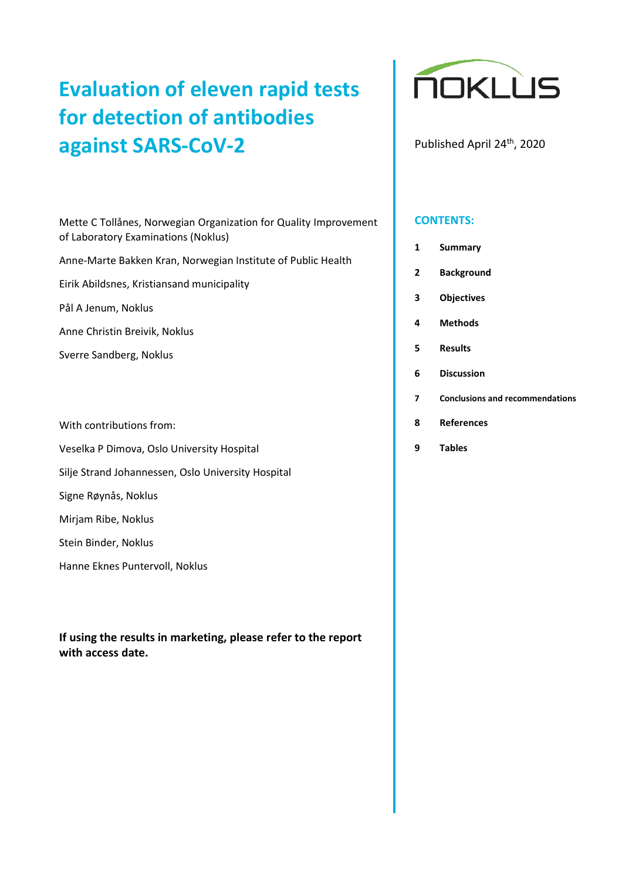# **Evaluation of eleven rapid tests for detection of antibodies against SARS-CoV-2**

Mette C Tollånes, Norwegian Organization for Quality Improvement of Laboratory Examinations (Noklus)

Anne-Marte Bakken Kran, Norwegian Institute of Public Health

Eirik Abildsnes, Kristiansand municipality

Pål A Jenum, Noklus

Anne Christin Breivik, Noklus

Sverre Sandberg, Noklus

With contributions from:

Veselka P Dimova, Oslo University Hospital

Silje Strand Johannessen, Oslo University Hospital

Signe Røynås, Noklus

Mirjam Ribe, Noklus

Stein Binder, Noklus

Hanne Eknes Puntervoll, Noklus

**If using the results in marketing, please refer to the report with access date.**



Published April 24<sup>th</sup>, 2020

#### **CONTENTS:**

|  |  | <b>Summary</b> |
|--|--|----------------|
|--|--|----------------|

**2 Background**

**3 [Objectives](#page-6-0)**

**4 Methods**

**5 Results**

- **6 Discussion**
- **7 Conclusions and recommendations**
- **8 References**
- **9 Tables**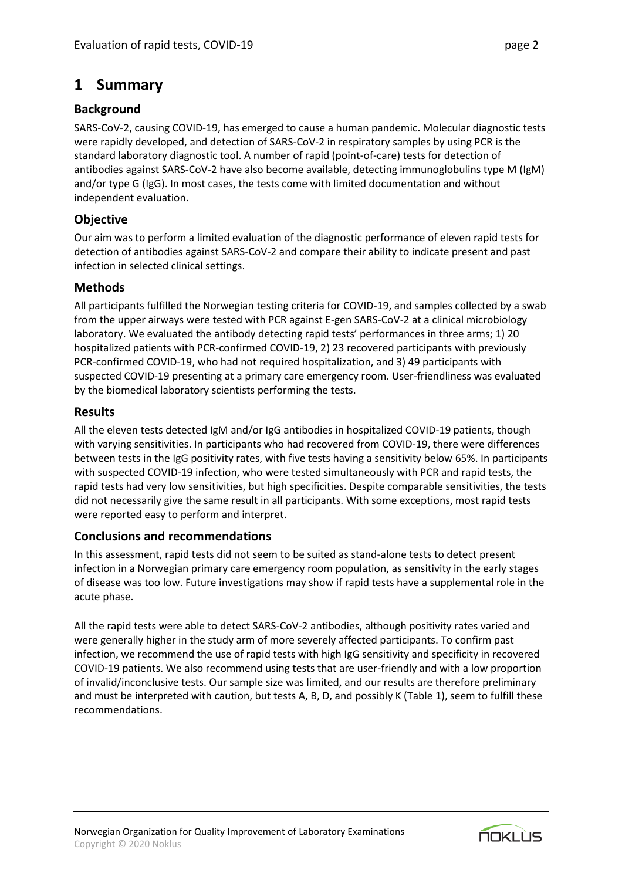## <span id="page-1-0"></span>**1 Summary**

## **Background**

SARS-CoV-2, causing COVID-19, has emerged to cause a human pandemic. Molecular diagnostic tests were rapidly developed, and detection of SARS-CoV-2 in respiratory samples by using PCR is the standard laboratory diagnostic tool. A number of rapid (point-of-care) tests for detection of antibodies against SARS-CoV-2 have also become available, detecting immunoglobulins type M (IgM) and/or type G (IgG). In most cases, the tests come with limited documentation and without independent evaluation.

## **Objective**

Our aim was to perform a limited evaluation of the diagnostic performance of eleven rapid tests for detection of antibodies against SARS-CoV-2 and compare their ability to indicate present and past infection in selected clinical settings.

## **Methods**

All participants fulfilled the Norwegian testing criteria for COVID-19, and samples collected by a swab from the upper airways were tested with PCR against E-gen SARS-CoV-2 at a clinical microbiology laboratory. We evaluated the antibody detecting rapid tests' performances in three arms; 1) 20 hospitalized patients with PCR-confirmed COVID-19, 2) 23 recovered participants with previously PCR-confirmed COVID-19, who had not required hospitalization, and 3) 49 participants with suspected COVID-19 presenting at a primary care emergency room. User-friendliness was evaluated by the biomedical laboratory scientists performing the tests.

## **Results**

All the eleven tests detected IgM and/or IgG antibodies in hospitalized COVID-19 patients, though with varying sensitivities. In participants who had recovered from COVID-19, there were differences between tests in the IgG positivity rates, with five tests having a sensitivity below 65%. In participants with suspected COVID-19 infection, who were tested simultaneously with PCR and rapid tests, the rapid tests had very low sensitivities, but high specificities. Despite comparable sensitivities, the tests did not necessarily give the same result in all participants. With some exceptions, most rapid tests were reported easy to perform and interpret.

## **Conclusions and recommendations**

In this assessment, rapid tests did not seem to be suited as stand-alone tests to detect present infection in a Norwegian primary care emergency room population, as sensitivity in the early stages of disease was too low. Future investigations may show if rapid tests have a supplemental role in the acute phase.

All the rapid tests were able to detect SARS-CoV-2 antibodies, although positivity rates varied and were generally higher in the study arm of more severely affected participants. To confirm past infection, we recommend the use of rapid tests with high IgG sensitivity and specificity in recovered COVID-19 patients. We also recommend using tests that are user-friendly and with a low proportion of invalid/inconclusive tests. Our sample size was limited, and our results are therefore preliminary and must be interpreted with caution, but tests A, B, D, and possibly K (Table 1), seem to fulfill these recommendations.

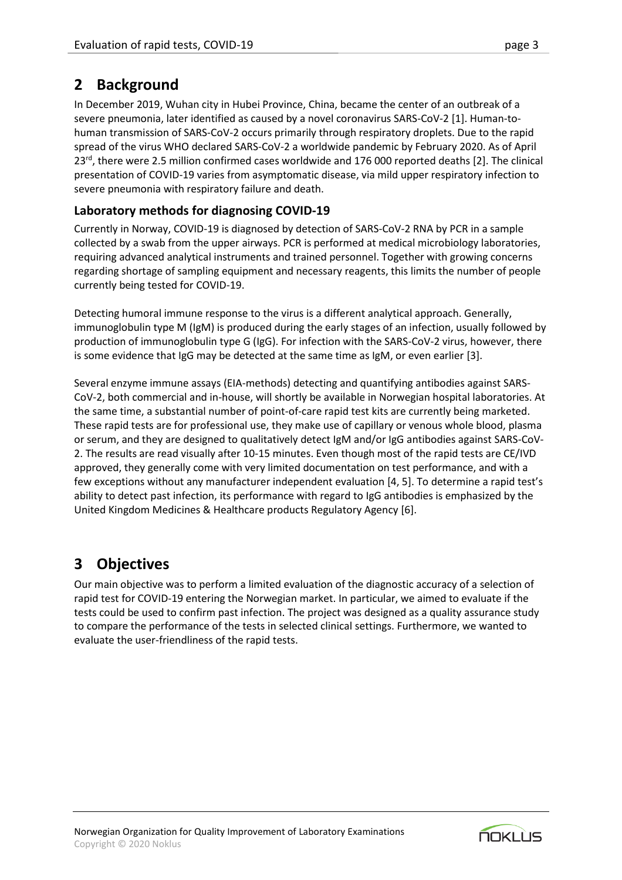In December 2019, Wuhan city in Hubei Province, China, became the center of an outbreak of a severe pneumonia, later identified as caused by a novel coronavirus SARS-CoV-2 [1]. Human-tohuman transmission of SARS-CoV-2 occurs primarily through respiratory droplets. Due to the rapid spread of the virus WHO declared SARS-CoV-2 a worldwide pandemic by February 2020. As of April 23<sup>rd</sup>, there were 2.5 million confirmed cases worldwide and 176 000 reported deaths [2]. The clinical presentation of COVID-19 varies from asymptomatic disease, via mild upper respiratory infection to severe pneumonia with respiratory failure and death.

## **Laboratory methods for diagnosing COVID-19**

Currently in Norway, COVID-19 is diagnosed by detection of SARS-CoV-2 RNA by PCR in a sample collected by a swab from the upper airways. PCR is performed at medical microbiology laboratories, requiring advanced analytical instruments and trained personnel. Together with growing concerns regarding shortage of sampling equipment and necessary reagents, this limits the number of people currently being tested for COVID-19.

Detecting humoral immune response to the virus is a different analytical approach. Generally, immunoglobulin type M (IgM) is produced during the early stages of an infection, usually followed by production of immunoglobulin type G (IgG). For infection with the SARS-CoV-2 virus, however, there is some evidence that IgG may be detected at the same time as IgM, or even earlier [3].

Several enzyme immune assays (EIA-methods) detecting and quantifying antibodies against SARS-CoV-2, both commercial and in-house, will shortly be available in Norwegian hospital laboratories. At the same time, a substantial number of point-of-care rapid test kits are currently being marketed. These rapid tests are for professional use, they make use of capillary or venous whole blood, plasma or serum, and they are designed to qualitatively detect IgM and/or IgG antibodies against SARS-CoV-2. The results are read visually after 10-15 minutes. Even though most of the rapid tests are CE/IVD approved, they generally come with very limited documentation on test performance, and with a few exceptions without any manufacturer independent evaluation [4, 5]. To determine a rapid test's ability to detect past infection, its performance with regard to IgG antibodies is emphasized by the United Kingdom Medicines & Healthcare products Regulatory Agency [6].

# **3 Objectives**

Our main objective was to perform a limited evaluation of the diagnostic accuracy of a selection of rapid test for COVID-19 entering the Norwegian market. In particular, we aimed to evaluate if the tests could be used to confirm past infection. The project was designed as a quality assurance study to compare the performance of the tests in selected clinical settings. Furthermore, we wanted to evaluate the user-friendliness of the rapid tests.

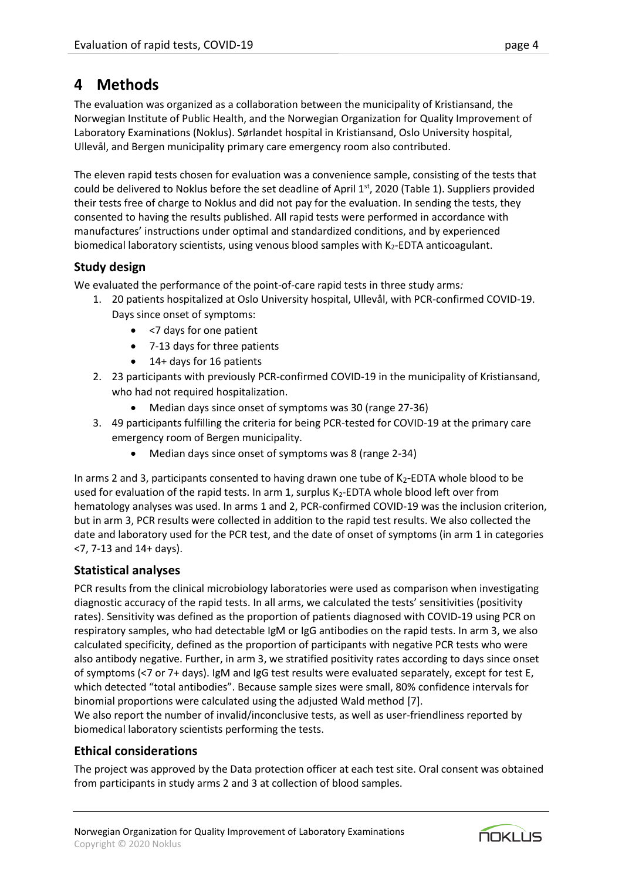# **4 Methods**

The evaluation was organized as a collaboration between the municipality of Kristiansand, the Norwegian Institute of Public Health, and the Norwegian Organization for Quality Improvement of Laboratory Examinations (Noklus). Sørlandet hospital in Kristiansand, Oslo University hospital, Ullevål, and Bergen municipality primary care emergency room also contributed.

The eleven rapid tests chosen for evaluation was a convenience sample, consisting of the tests that could be delivered to Noklus before the set deadline of April  $1<sup>st</sup>$ , 2020 (Table 1). Suppliers provided their tests free of charge to Noklus and did not pay for the evaluation. In sending the tests, they consented to having the results published. All rapid tests were performed in accordance with manufactures' instructions under optimal and standardized conditions, and by experienced biomedical laboratory scientists, using venous blood samples with  $K_2$ -EDTA anticoagulant.

## **Study design**

We evaluated the performance of the point-of-care rapid tests in three study arms*:*

- 1. 20 patients hospitalized at Oslo University hospital, Ullevål, with PCR-confirmed COVID-19. Days since onset of symptoms:
	- <7 days for one patient
	- 7-13 days for three patients
	- 14+ days for 16 patients
- 2. 23 participants with previously PCR-confirmed COVID-19 in the municipality of Kristiansand, who had not required hospitalization.
	- Median days since onset of symptoms was 30 (range 27-36)
- 3. 49 participants fulfilling the criteria for being PCR-tested for COVID-19 at the primary care emergency room of Bergen municipality.
	- Median days since onset of symptoms was 8 (range 2-34)

In arms 2 and 3, participants consented to having drawn one tube of  $K_2$ -EDTA whole blood to be used for evaluation of the rapid tests. In arm 1, surplus K<sub>2</sub>-EDTA whole blood left over from hematology analyses was used. In arms 1 and 2, PCR-confirmed COVID-19 was the inclusion criterion, but in arm 3, PCR results were collected in addition to the rapid test results. We also collected the date and laboratory used for the PCR test, and the date of onset of symptoms (in arm 1 in categories <7, 7-13 and 14+ days).

## **Statistical analyses**

PCR results from the clinical microbiology laboratories were used as comparison when investigating diagnostic accuracy of the rapid tests. In all arms, we calculated the tests' sensitivities (positivity rates). Sensitivity was defined as the proportion of patients diagnosed with COVID-19 using PCR on respiratory samples, who had detectable IgM or IgG antibodies on the rapid tests. In arm 3, we also calculated specificity, defined as the proportion of participants with negative PCR tests who were also antibody negative. Further, in arm 3, we stratified positivity rates according to days since onset of symptoms (<7 or 7+ days). IgM and IgG test results were evaluated separately, except for test E, which detected "total antibodies". Because sample sizes were small, 80% confidence intervals for binomial proportions were calculated using the adjusted Wald method [7].

We also report the number of invalid/inconclusive tests, as well as user-friendliness reported by biomedical laboratory scientists performing the tests.

## **Ethical considerations**

The project was approved by the Data protection officer at each test site. Oral consent was obtained from participants in study arms 2 and 3 at collection of blood samples.

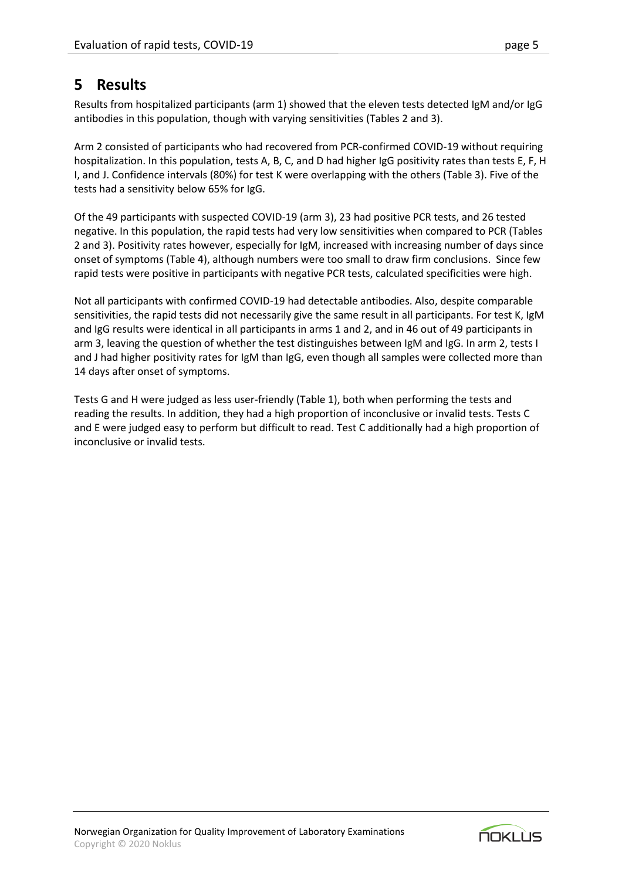# **5 Results**

Results from hospitalized participants (arm 1) showed that the eleven tests detected IgM and/or IgG antibodies in this population, though with varying sensitivities (Tables 2 and 3).

Arm 2 consisted of participants who had recovered from PCR-confirmed COVID-19 without requiring hospitalization. In this population, tests A, B, C, and D had higher IgG positivity rates than tests E, F, H I, and J. Confidence intervals (80%) for test K were overlapping with the others (Table 3). Five of the tests had a sensitivity below 65% for IgG.

Of the 49 participants with suspected COVID-19 (arm 3), 23 had positive PCR tests, and 26 tested negative. In this population, the rapid tests had very low sensitivities when compared to PCR (Tables 2 and 3). Positivity rates however, especially for IgM, increased with increasing number of days since onset of symptoms (Table 4), although numbers were too small to draw firm conclusions. Since few rapid tests were positive in participants with negative PCR tests, calculated specificities were high.

Not all participants with confirmed COVID-19 had detectable antibodies. Also, despite comparable sensitivities, the rapid tests did not necessarily give the same result in all participants. For test K, IgM and IgG results were identical in all participants in arms 1 and 2, and in 46 out of 49 participants in arm 3, leaving the question of whether the test distinguishes between IgM and IgG. In arm 2, tests I and J had higher positivity rates for IgM than IgG, even though all samples were collected more than 14 days after onset of symptoms.

Tests G and H were judged as less user-friendly (Table 1), both when performing the tests and reading the results. In addition, they had a high proportion of inconclusive or invalid tests. Tests C and E were judged easy to perform but difficult to read. Test C additionally had a high proportion of inconclusive or invalid tests.

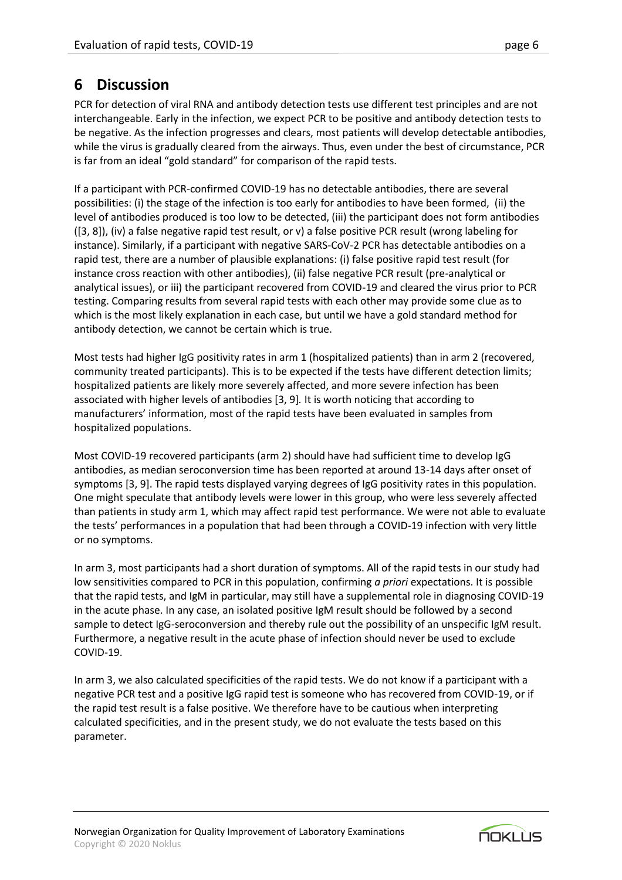# **6 Discussion**

PCR for detection of viral RNA and antibody detection tests use different test principles and are not interchangeable. Early in the infection, we expect PCR to be positive and antibody detection tests to be negative. As the infection progresses and clears, most patients will develop detectable antibodies, while the virus is gradually cleared from the airways. Thus, even under the best of circumstance, PCR is far from an ideal "gold standard" for comparison of the rapid tests.

If a participant with PCR-confirmed COVID-19 has no detectable antibodies, there are several possibilities: (i) the stage of the infection is too early for antibodies to have been formed, (ii) the level of antibodies produced is too low to be detected, (iii) the participant does not form antibodies ([3, 8]), (iv) a false negative rapid test result, or v) a false positive PCR result (wrong labeling for instance). Similarly, if a participant with negative SARS-CoV-2 PCR has detectable antibodies on a rapid test, there are a number of plausible explanations: (i) false positive rapid test result (for instance cross reaction with other antibodies), (ii) false negative PCR result (pre-analytical or analytical issues), or iii) the participant recovered from COVID-19 and cleared the virus prior to PCR testing. Comparing results from several rapid tests with each other may provide some clue as to which is the most likely explanation in each case, but until we have a gold standard method for antibody detection, we cannot be certain which is true.

Most tests had higher IgG positivity rates in arm 1 (hospitalized patients) than in arm 2 (recovered, community treated participants). This is to be expected if the tests have different detection limits; hospitalized patients are likely more severely affected, and more severe infection has been associated with higher levels of antibodies [3, 9]*.* It is worth noticing that according to manufacturers' information, most of the rapid tests have been evaluated in samples from hospitalized populations.

Most COVID-19 recovered participants (arm 2) should have had sufficient time to develop IgG antibodies, as median seroconversion time has been reported at around 13-14 days after onset of symptoms [3, 9]. The rapid tests displayed varying degrees of IgG positivity rates in this population. One might speculate that antibody levels were lower in this group, who were less severely affected than patients in study arm 1, which may affect rapid test performance. We were not able to evaluate the tests' performances in a population that had been through a COVID-19 infection with very little or no symptoms.

In arm 3, most participants had a short duration of symptoms. All of the rapid tests in our study had low sensitivities compared to PCR in this population, confirming *a priori* expectations. It is possible that the rapid tests, and IgM in particular, may still have a supplemental role in diagnosing COVID-19 in the acute phase. In any case, an isolated positive IgM result should be followed by a second sample to detect IgG-seroconversion and thereby rule out the possibility of an unspecific IgM result. Furthermore, a negative result in the acute phase of infection should never be used to exclude COVID-19.

In arm 3, we also calculated specificities of the rapid tests. We do not know if a participant with a negative PCR test and a positive IgG rapid test is someone who has recovered from COVID-19, or if the rapid test result is a false positive. We therefore have to be cautious when interpreting calculated specificities, and in the present study, we do not evaluate the tests based on this parameter.

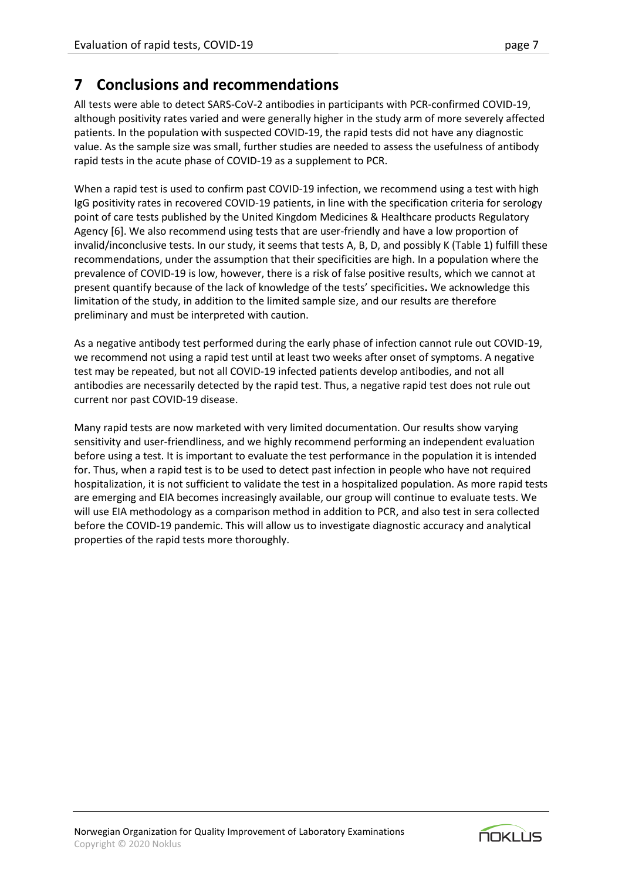# **7 Conclusions and recommendations**

All tests were able to detect SARS-CoV-2 antibodies in participants with PCR-confirmed COVID-19, although positivity rates varied and were generally higher in the study arm of more severely affected patients. In the population with suspected COVID-19, the rapid tests did not have any diagnostic value. As the sample size was small, further studies are needed to assess the usefulness of antibody rapid tests in the acute phase of COVID-19 as a supplement to PCR.

When a rapid test is used to confirm past COVID-19 infection, we recommend using a test with high IgG positivity rates in recovered COVID-19 patients, in line with the specification criteria for serology point of care tests published by the United Kingdom Medicines & Healthcare products Regulatory Agency [6]. We also recommend using tests that are user-friendly and have a low proportion of invalid/inconclusive tests. In our study, it seems that tests A, B, D, and possibly K (Table 1) fulfill these recommendations, under the assumption that their specificities are high. In a population where the prevalence of COVID-19 is low, however, there is a risk of false positive results, which we cannot at present quantify because of the lack of knowledge of the tests' specificities**.** We acknowledge this limitation of the study, in addition to the limited sample size, and our results are therefore preliminary and must be interpreted with caution.

As a negative antibody test performed during the early phase of infection cannot rule out COVID-19, we recommend not using a rapid test until at least two weeks after onset of symptoms. A negative test may be repeated, but not all COVID-19 infected patients develop antibodies, and not all antibodies are necessarily detected by the rapid test. Thus, a negative rapid test does not rule out current nor past COVID-19 disease.

<span id="page-6-0"></span>Many rapid tests are now marketed with very limited documentation. Our results show varying sensitivity and user-friendliness, and we highly recommend performing an independent evaluation before using a test. It is important to evaluate the test performance in the population it is intended for. Thus, when a rapid test is to be used to detect past infection in people who have not required hospitalization, it is not sufficient to validate the test in a hospitalized population. As more rapid tests are emerging and EIA becomes increasingly available, our group will continue to evaluate tests. We will use EIA methodology as a comparison method in addition to PCR, and also test in sera collected before the COVID-19 pandemic. This will allow us to investigate diagnostic accuracy and analytical properties of the rapid tests more thoroughly.

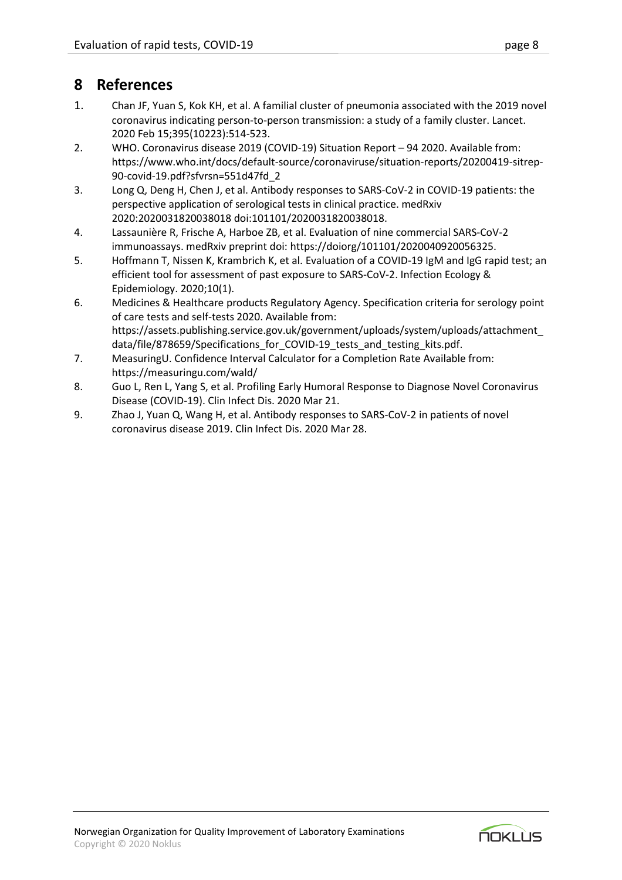# **8 References**

- 1. Chan JF, Yuan S, Kok KH, et al. A familial cluster of pneumonia associated with the 2019 novel coronavirus indicating person-to-person transmission: a study of a family cluster. Lancet. 2020 Feb 15;395(10223):514-523.
- 2. WHO. Coronavirus disease 2019 (COVID-19) Situation Report 94 2020. Available from: https://www.who.int/docs/default-source/coronaviruse/situation-reports/20200419-sitrep-90-covid-19.pdf?sfvrsn=551d47fd\_2
- 3. Long Q, Deng H, Chen J, et al. Antibody responses to SARS-CoV-2 in COVID-19 patients: the perspective application of serological tests in clinical practice. medRxiv 2020:2020031820038018 doi:101101/2020031820038018.
- 4. Lassaunière R, Frische A, Harboe ZB, et al. Evaluation of nine commercial SARS-CoV-2 immunoassays. medRxiv preprint doi: https://doiorg/101101/2020040920056325.
- 5. Hoffmann T, Nissen K, Krambrich K, et al. Evaluation of a COVID-19 IgM and IgG rapid test; an efficient tool for assessment of past exposure to SARS-CoV-2. Infection Ecology & Epidemiology. 2020;10(1).
- 6. Medicines & Healthcare products Regulatory Agency. Specification criteria for serology point of care tests and self-tests 2020. Available from: https://assets.publishing.service.gov.uk/government/uploads/system/uploads/attachment\_ data/file/878659/Specifications\_for\_COVID-19\_tests\_and\_testing\_kits.pdf.
- 7. MeasuringU. Confidence Interval Calculator for a Completion Rate Available from: https://measuringu.com/wald/
- 8. Guo L, Ren L, Yang S, et al. Profiling Early Humoral Response to Diagnose Novel Coronavirus Disease (COVID-19). Clin Infect Dis. 2020 Mar 21.
- 9. Zhao J, Yuan Q, Wang H, et al. Antibody responses to SARS-CoV-2 in patients of novel coronavirus disease 2019. Clin Infect Dis. 2020 Mar 28.

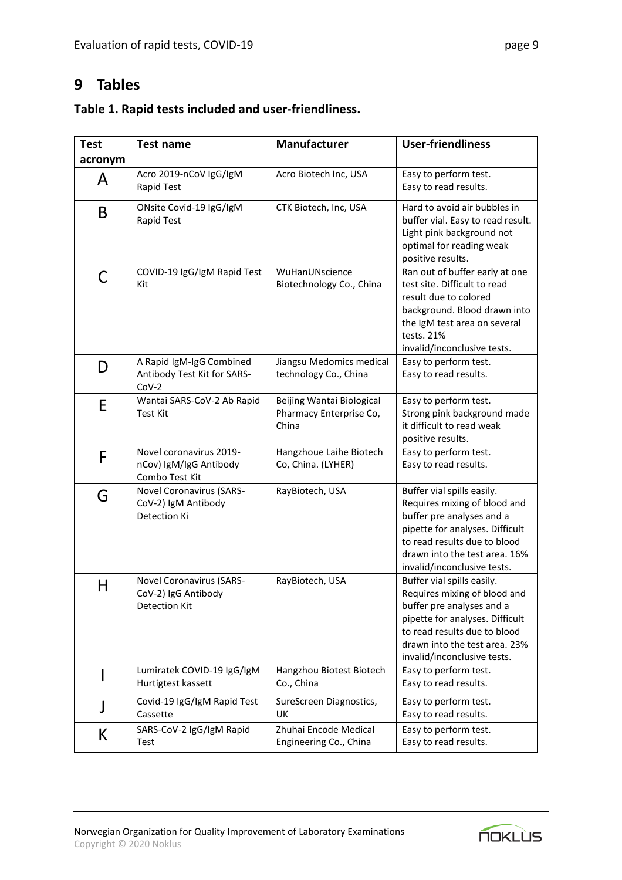# **9 Tables**

| Table 1. Rapid tests included and user-friendliness. |
|------------------------------------------------------|
|                                                      |

| <b>Test</b> | Test name                                                               | <b>Manufacturer</b>                                           | <b>User-friendliness</b>                                                                                                                                                                                                   |
|-------------|-------------------------------------------------------------------------|---------------------------------------------------------------|----------------------------------------------------------------------------------------------------------------------------------------------------------------------------------------------------------------------------|
| acronym     |                                                                         |                                                               |                                                                                                                                                                                                                            |
| A           | Acro 2019-nCoV IgG/IgM<br>Rapid Test                                    | Acro Biotech Inc, USA                                         | Easy to perform test.<br>Easy to read results.                                                                                                                                                                             |
| B           | ONsite Covid-19 IgG/IgM<br>Rapid Test                                   | CTK Biotech, Inc, USA                                         | Hard to avoid air bubbles in<br>buffer vial. Easy to read result.<br>Light pink background not<br>optimal for reading weak<br>positive results.                                                                            |
| С           | COVID-19 IgG/IgM Rapid Test<br>Kit                                      | WuHanUNscience<br>Biotechnology Co., China                    | Ran out of buffer early at one<br>test site. Difficult to read<br>result due to colored<br>background. Blood drawn into<br>the IgM test area on several<br>tests. 21%<br>invalid/inconclusive tests.                       |
| D           | A Rapid IgM-IgG Combined<br>Antibody Test Kit for SARS-<br>$Cov-2$      | Jiangsu Medomics medical<br>technology Co., China             | Easy to perform test.<br>Easy to read results.                                                                                                                                                                             |
| E           | Wantai SARS-CoV-2 Ab Rapid<br><b>Test Kit</b>                           | Beijing Wantai Biological<br>Pharmacy Enterprise Co,<br>China | Easy to perform test.<br>Strong pink background made<br>it difficult to read weak<br>positive results.                                                                                                                     |
| F           | Novel coronavirus 2019-<br>nCov) IgM/IgG Antibody<br>Combo Test Kit     | Hangzhoue Laihe Biotech<br>Co, China. (LYHER)                 | Easy to perform test.<br>Easy to read results.                                                                                                                                                                             |
| G           | <b>Novel Coronavirus (SARS-</b><br>CoV-2) IgM Antibody<br>Detection Ki  | RayBiotech, USA                                               | Buffer vial spills easily.<br>Requires mixing of blood and<br>buffer pre analyses and a<br>pipette for analyses. Difficult<br>to read results due to blood<br>drawn into the test area. 16%<br>invalid/inconclusive tests. |
| Н           | Novel Coronavirus (SARS-<br>CoV-2) IgG Antibody<br><b>Detection Kit</b> | RayBiotech, USA                                               | Buffer vial spills easily.<br>Requires mixing of blood and<br>buffer pre analyses and a<br>pipette for analyses. Difficult<br>to read results due to blood<br>drawn into the test area. 23%<br>invalid/inconclusive tests. |
|             | Lumiratek COVID-19 IgG/IgM<br>Hurtigtest kassett                        | Hangzhou Biotest Biotech<br>Co., China                        | Easy to perform test.<br>Easy to read results.                                                                                                                                                                             |
| J           | Covid-19 IgG/IgM Rapid Test<br>Cassette                                 | SureScreen Diagnostics,<br>UK                                 | Easy to perform test.<br>Easy to read results.                                                                                                                                                                             |
| K           | SARS-CoV-2 IgG/IgM Rapid<br>Test                                        | Zhuhai Encode Medical<br>Engineering Co., China               | Easy to perform test.<br>Easy to read results.                                                                                                                                                                             |

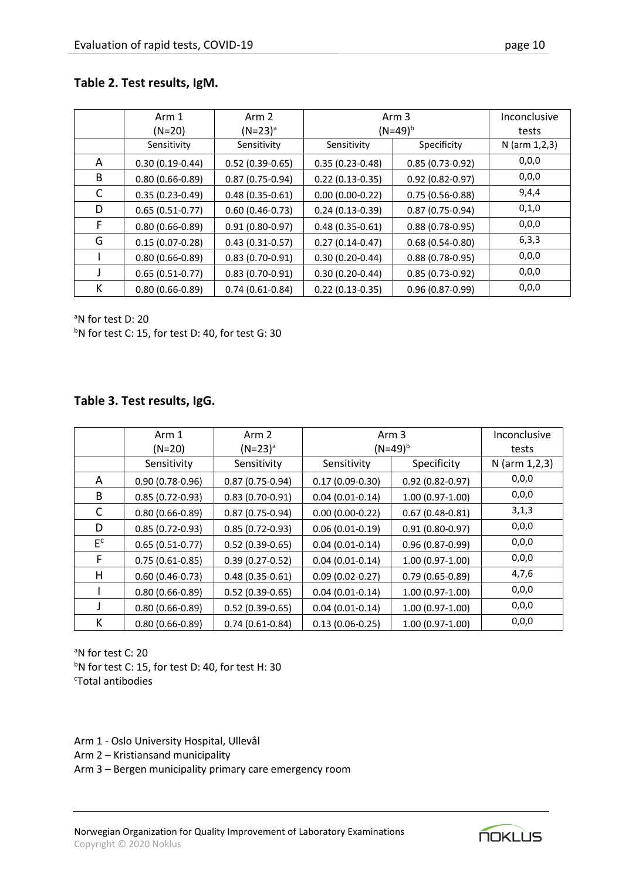## **Table 2. Test results, IgM.**

|   | Arm 1<br>$(N=20)$   | Arm 2<br>$(N=23)^a$ | Arm 3<br>$(N=49)^{b}$ |                     | Inconclusive<br>tests |
|---|---------------------|---------------------|-----------------------|---------------------|-----------------------|
|   | Sensitivity         | Sensitivity         | Sensitivity           | Specificity         | $N$ (arm 1,2,3)       |
| A | $0.30(0.19-0.44)$   | $0.52(0.39-0.65)$   | $0.35(0.23-0.48)$     | $0.85(0.73-0.92)$   | 0,0,0                 |
| B | $0.80(0.66 - 0.89)$ | $0.87(0.75-0.94)$   | $0.22(0.13-0.35)$     | $0.92(0.82 - 0.97)$ | 0,0,0                 |
| C | $0.35(0.23-0.49)$   | $0.48(0.35-0.61)$   | $0.00(0.00-0.22)$     | $0.75(0.56-0.88)$   | 9,4,4                 |
| D | $0.65(0.51-0.77)$   | $0.60(0.46-0.73)$   | $0.24(0.13-0.39)$     | $0.87(0.75-0.94)$   | 0,1,0                 |
| F | $0.80(0.66-0.89)$   | $0.91(0.80 - 0.97)$ | $0.48(0.35-0.61)$     | $0.88(0.78-0.95)$   | 0,0,0                 |
| G | $0.15(0.07-0.28)$   | $0.43(0.31-0.57)$   | $0.27(0.14-0.47)$     | $0.68(0.54-0.80)$   | 6,3,3                 |
|   | $0.80(0.66-0.89)$   | $0.83(0.70-0.91)$   | $0.30(0.20-0.44)$     | $0.88(0.78-0.95)$   | 0,0,0                 |
|   | $0.65(0.51-0.77)$   | $0.83(0.70-0.91)$   | $0.30(0.20-0.44)$     | $0.85(0.73-0.92)$   | 0,0,0                 |
| К | $0.80(0.66-0.89)$   | $0.74(0.61-0.84)$   | $0.22(0.13-0.35)$     | $0.96(0.87 - 0.99)$ | 0,0,0                 |

<sup>a</sup>N for test D: 20

 $bN$  for test C: 15, for test D: 40, for test G: 30

#### **Table 3. Test results, IgG.**

|         | Arm 1               | Arm 2               | Arm 3               |                     | Inconclusive    |
|---------|---------------------|---------------------|---------------------|---------------------|-----------------|
|         | $(N=20)$            | $(N=23)^a$          | $(N=49)^{b}$        |                     | tests           |
|         | Sensitivity         | Sensitivity         | Sensitivity         | Specificity         | $N$ (arm 1,2,3) |
| A       | $0.90(0.78-0.96)$   | $0.87(0.75-0.94)$   | $0.17(0.09 - 0.30)$ | $0.92(0.82 - 0.97)$ | 0,0,0           |
| B       | $0.85(0.72-0.93)$   | $0.83(0.70-0.91)$   | $0.04(0.01-0.14)$   | $1.00(0.97-1.00)$   | 0,0,0           |
| C       | $0.80(0.66 - 0.89)$ | $0.87(0.75-0.94)$   | $0.00(0.00-0.22)$   | $0.67(0.48-0.81)$   | 3,1,3           |
| D       | $0.85(0.72-0.93)$   | $0.85(0.72-0.93)$   | $0.06(0.01-0.19)$   | $0.91(0.80 - 0.97)$ | 0,0,0           |
| $E_{c}$ | $0.65(0.51-0.77)$   | $0.52(0.39-0.65)$   | $0.04(0.01-0.14)$   | 0.96 (0.87-0.99)    | 0,0,0           |
| F.      | $0.75(0.61-0.85)$   | $0.39(0.27-0.52)$   | $0.04(0.01-0.14)$   | $1.00(0.97-1.00)$   | 0,0,0           |
| H       | $0.60(0.46-0.73)$   | $0.48(0.35 - 0.61)$ | $0.09(0.02-0.27)$   | $0.79(0.65-0.89)$   | 4,7,6           |
|         | $0.80(0.66 - 0.89)$ | $0.52(0.39-0.65)$   | $0.04(0.01-0.14)$   | $1.00(0.97-1.00)$   | 0,0,0           |
|         | $0.80(0.66 - 0.89)$ | $0.52(0.39-0.65)$   | $0.04(0.01-0.14)$   | $1.00(0.97-1.00)$   | 0,0,0           |
| К       | $0.80(0.66 - 0.89)$ | $0.74(0.61-0.84)$   | $0.13(0.06-0.25)$   | $1.00(0.97-1.00)$   | 0,0,0           |

a<sub>N</sub> for test C: 20  $bN$  for test C: 15, for test D: 40, for test H: 30 <sup>c</sup>Total antibodies

Arm 1 - Oslo University Hospital, Ullevål

Arm 2 – Kristiansand municipality

Arm 3 – Bergen municipality primary care emergency room